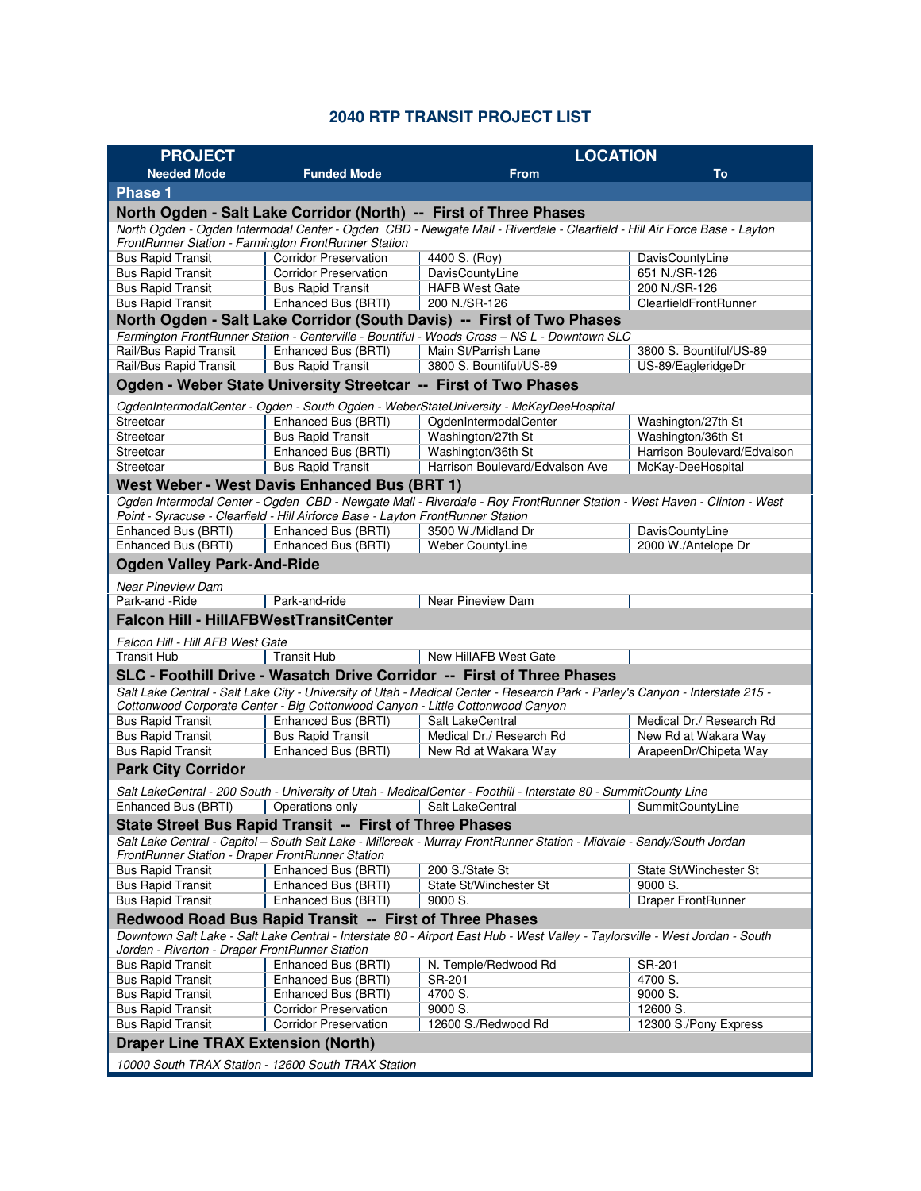## **2040 RTP TRANSIT PROJECT LIST**

| <b>PROJECT</b>                                                                                                                                                                   |                                                                                 | <b>LOCATION</b>                                                                                                               |                                          |  |  |  |
|----------------------------------------------------------------------------------------------------------------------------------------------------------------------------------|---------------------------------------------------------------------------------|-------------------------------------------------------------------------------------------------------------------------------|------------------------------------------|--|--|--|
| <b>Needed Mode</b>                                                                                                                                                               | <b>Funded Mode</b>                                                              | <b>From</b>                                                                                                                   | <b>To</b>                                |  |  |  |
| <b>Phase 1</b>                                                                                                                                                                   |                                                                                 |                                                                                                                               |                                          |  |  |  |
| North Ogden - Salt Lake Corridor (North) -- First of Three Phases                                                                                                                |                                                                                 |                                                                                                                               |                                          |  |  |  |
| North Ogden - Ogden Intermodal Center - Ogden CBD - Newgate Mall - Riverdale - Clearfield - Hill Air Force Base - Layton<br>FrontRunner Station - Farmington FrontRunner Station |                                                                                 |                                                                                                                               |                                          |  |  |  |
| <b>Bus Rapid Transit</b>                                                                                                                                                         | <b>Corridor Preservation</b>                                                    | 4400 S. (Roy)                                                                                                                 | DavisCountyLine                          |  |  |  |
| <b>Bus Rapid Transit</b>                                                                                                                                                         | <b>Corridor Preservation</b>                                                    | DavisCountyLine                                                                                                               | 651 N./SR-126                            |  |  |  |
| <b>Bus Rapid Transit</b>                                                                                                                                                         | <b>Bus Rapid Transit</b>                                                        | <b>HAFB West Gate</b>                                                                                                         | 200 N./SR-126                            |  |  |  |
| <b>Bus Rapid Transit</b>                                                                                                                                                         | Enhanced Bus (BRTI)                                                             | 200 N./SR-126                                                                                                                 | ClearfieldFrontRunner                    |  |  |  |
|                                                                                                                                                                                  |                                                                                 | North Ogden - Salt Lake Corridor (South Davis) -- First of Two Phases                                                         |                                          |  |  |  |
|                                                                                                                                                                                  |                                                                                 | Farmington FrontRunner Station - Centerville - Bountiful - Woods Cross - NS L - Downtown SLC                                  |                                          |  |  |  |
| Rail/Bus Rapid Transit                                                                                                                                                           | Enhanced Bus (BRTI)                                                             | Main St/Parrish Lane<br>3800 S. Bountiful/US-89                                                                               | 3800 S. Bountiful/US-89                  |  |  |  |
| Rail/Bus Rapid Transit                                                                                                                                                           | <b>Bus Rapid Transit</b>                                                        |                                                                                                                               | US-89/EagleridgeDr                       |  |  |  |
|                                                                                                                                                                                  |                                                                                 | Ogden - Weber State University Streetcar -- First of Two Phases                                                               |                                          |  |  |  |
|                                                                                                                                                                                  |                                                                                 | OgdenIntermodalCenter - Ogden - South Ogden - WeberStateUniversity - McKayDeeHospital                                         |                                          |  |  |  |
| Streetcar<br>Streetcar                                                                                                                                                           | Enhanced Bus (BRTI)<br><b>Bus Rapid Transit</b>                                 | OgdenIntermodalCenter<br>Washington/27th St                                                                                   | Washington/27th St<br>Washington/36th St |  |  |  |
| Streetcar                                                                                                                                                                        | Enhanced Bus (BRTI)                                                             | Washington/36th St                                                                                                            | Harrison Boulevard/Edvalson              |  |  |  |
| Streetcar                                                                                                                                                                        | <b>Bus Rapid Transit</b>                                                        | Harrison Boulevard/Edvalson Ave                                                                                               | McKay-DeeHospital                        |  |  |  |
|                                                                                                                                                                                  | West Weber - West Davis Enhanced Bus (BRT 1)                                    |                                                                                                                               |                                          |  |  |  |
|                                                                                                                                                                                  |                                                                                 | Ogden Intermodal Center - Ogden CBD - Newgate Mall - Riverdale - Roy FrontRunner Station - West Haven - Clinton - West        |                                          |  |  |  |
|                                                                                                                                                                                  | Point - Syracuse - Clearfield - Hill Airforce Base - Layton FrontRunner Station |                                                                                                                               |                                          |  |  |  |
| Enhanced Bus (BRTI)                                                                                                                                                              | Enhanced Bus (BRTI)                                                             | 3500 W./Midland Dr                                                                                                            | DavisCountyLine                          |  |  |  |
| Enhanced Bus (BRTI)                                                                                                                                                              | Enhanced Bus (BRTI)                                                             | <b>Weber CountyLine</b>                                                                                                       | 2000 W./Antelope Dr                      |  |  |  |
| <b>Ogden Valley Park-And-Ride</b>                                                                                                                                                |                                                                                 |                                                                                                                               |                                          |  |  |  |
| <b>Near Pineview Dam</b>                                                                                                                                                         |                                                                                 |                                                                                                                               |                                          |  |  |  |
| Park-and -Ride                                                                                                                                                                   | Park-and-ride                                                                   | Near Pineview Dam                                                                                                             |                                          |  |  |  |
| <b>Falcon Hill - HillAFBWestTransitCenter</b>                                                                                                                                    |                                                                                 |                                                                                                                               |                                          |  |  |  |
| Falcon Hill - Hill AFB West Gate                                                                                                                                                 |                                                                                 |                                                                                                                               |                                          |  |  |  |
| Transit Hub                                                                                                                                                                      | <b>Transit Hub</b>                                                              | New HillAFB West Gate                                                                                                         |                                          |  |  |  |
|                                                                                                                                                                                  |                                                                                 | SLC - Foothill Drive - Wasatch Drive Corridor -- First of Three Phases                                                        |                                          |  |  |  |
|                                                                                                                                                                                  |                                                                                 | Salt Lake Central - Salt Lake City - University of Utah - Medical Center - Research Park - Parley's Canyon - Interstate 215 - |                                          |  |  |  |
|                                                                                                                                                                                  | Cottonwood Corporate Center - Big Cottonwood Canyon - Little Cottonwood Canyon  |                                                                                                                               |                                          |  |  |  |
| <b>Bus Rapid Transit</b>                                                                                                                                                         | Enhanced Bus (BRTI)                                                             | Salt LakeCentral                                                                                                              | Medical Dr./ Research Rd                 |  |  |  |
| <b>Bus Rapid Transit</b>                                                                                                                                                         | <b>Bus Rapid Transit</b>                                                        | Medical Dr./ Research Rd                                                                                                      | New Rd at Wakara Way                     |  |  |  |
| <b>Bus Rapid Transit</b>                                                                                                                                                         | Enhanced Bus (BRTI)                                                             | New Rd at Wakara Way                                                                                                          | ArapeenDr/Chipeta Way                    |  |  |  |
| <b>Park City Corridor</b>                                                                                                                                                        |                                                                                 |                                                                                                                               |                                          |  |  |  |
|                                                                                                                                                                                  |                                                                                 | Salt LakeCentral - 200 South - University of Utah - MedicalCenter - Foothill - Interstate 80 - SummitCounty Line              |                                          |  |  |  |
| Enhanced Bus (BRTI)                                                                                                                                                              | Operations only                                                                 | Salt LakeCentral                                                                                                              | SummitCountyLine                         |  |  |  |
|                                                                                                                                                                                  | State Street Bus Rapid Transit -- First of Three Phases                         |                                                                                                                               |                                          |  |  |  |
|                                                                                                                                                                                  |                                                                                 | Salt Lake Central - Capitol – South Salt Lake - Millcreek - Murray FrontRunner Station - Midvale - Sandy/South Jordan         |                                          |  |  |  |
| FrontRunner Station - Draper FrontRunner Station                                                                                                                                 |                                                                                 |                                                                                                                               |                                          |  |  |  |
| <b>Bus Rapid Transit</b>                                                                                                                                                         | Enhanced Bus (BRTI)                                                             | 200 S./State St                                                                                                               | State St/Winchester St                   |  |  |  |
| <b>Bus Rapid Transit</b>                                                                                                                                                         | Enhanced Bus (BRTI)                                                             | State St/Winchester St                                                                                                        | 9000 S.                                  |  |  |  |
| <b>Bus Rapid Transit</b>                                                                                                                                                         | Enhanced Bus (BRTI)                                                             | 9000 S.                                                                                                                       | Draper FrontRunner                       |  |  |  |
| Redwood Road Bus Rapid Transit -- First of Three Phases                                                                                                                          |                                                                                 |                                                                                                                               |                                          |  |  |  |
| Downtown Salt Lake - Salt Lake Central - Interstate 80 - Airport East Hub - West Valley - Taylorsville - West Jordan - South<br>Jordan - Riverton - Draper FrontRunner Station   |                                                                                 |                                                                                                                               |                                          |  |  |  |
| <b>Bus Rapid Transit</b>                                                                                                                                                         | Enhanced Bus (BRTI)                                                             | N. Temple/Redwood Rd                                                                                                          | SR-201                                   |  |  |  |
| <b>Bus Rapid Transit</b>                                                                                                                                                         | Enhanced Bus (BRTI)                                                             | SR-201                                                                                                                        | 4700 S.                                  |  |  |  |
| <b>Bus Rapid Transit</b>                                                                                                                                                         | Enhanced Bus (BRTI)                                                             | 4700 S.                                                                                                                       | 9000 S.                                  |  |  |  |
| <b>Bus Rapid Transit</b>                                                                                                                                                         | <b>Corridor Preservation</b>                                                    | 9000 S.                                                                                                                       | 12600 S.                                 |  |  |  |
| <b>Bus Rapid Transit</b>                                                                                                                                                         | <b>Corridor Preservation</b>                                                    | 12600 S./Redwood Rd                                                                                                           | 12300 S./Pony Express                    |  |  |  |
| <b>Draper Line TRAX Extension (North)</b>                                                                                                                                        |                                                                                 |                                                                                                                               |                                          |  |  |  |
| 10000 South TRAX Station - 12600 South TRAX Station                                                                                                                              |                                                                                 |                                                                                                                               |                                          |  |  |  |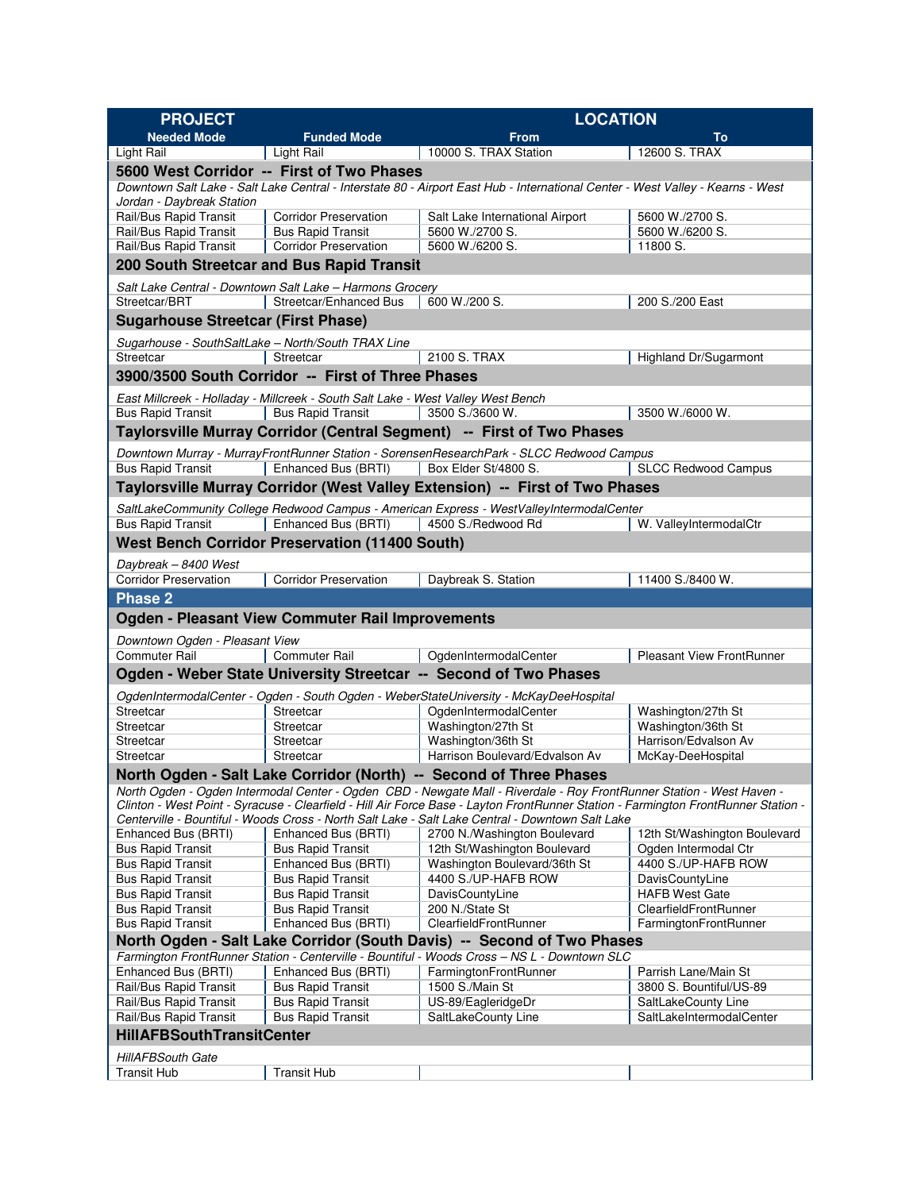| <b>PROJECT</b>                                       |                                                                                  | <b>LOCATION</b>                                                                                                                                                                                                                                                                                                                                                 |                                                |  |  |
|------------------------------------------------------|----------------------------------------------------------------------------------|-----------------------------------------------------------------------------------------------------------------------------------------------------------------------------------------------------------------------------------------------------------------------------------------------------------------------------------------------------------------|------------------------------------------------|--|--|
| <b>Needed Mode</b>                                   | <b>Funded Mode</b>                                                               | <b>From</b>                                                                                                                                                                                                                                                                                                                                                     | To                                             |  |  |
| Light Rail                                           | <b>Light Rail</b>                                                                | 10000 S. TRAX Station                                                                                                                                                                                                                                                                                                                                           | 12600 S. TRAX                                  |  |  |
|                                                      | 5600 West Corridor -- First of Two Phases                                        |                                                                                                                                                                                                                                                                                                                                                                 |                                                |  |  |
| Jordan - Daybreak Station                            |                                                                                  | Downtown Salt Lake - Salt Lake Central - Interstate 80 - Airport East Hub - International Center - West Valley - Kearns - West                                                                                                                                                                                                                                  |                                                |  |  |
| Rail/Bus Rapid Transit                               | <b>Corridor Preservation</b>                                                     | Salt Lake International Airport<br>5600 W./2700 S.                                                                                                                                                                                                                                                                                                              |                                                |  |  |
| Rail/Bus Rapid Transit                               | <b>Bus Rapid Transit</b>                                                         | 5600 W./2700 S.                                                                                                                                                                                                                                                                                                                                                 | 5600 W./6200 S.                                |  |  |
| Rail/Bus Rapid Transit                               | <b>Corridor Preservation</b>                                                     | 5600 W./6200 S.                                                                                                                                                                                                                                                                                                                                                 | 11800 S.                                       |  |  |
|                                                      | 200 South Streetcar and Bus Rapid Transit                                        |                                                                                                                                                                                                                                                                                                                                                                 |                                                |  |  |
|                                                      | Salt Lake Central - Downtown Salt Lake - Harmons Grocery                         |                                                                                                                                                                                                                                                                                                                                                                 |                                                |  |  |
| Streetcar/BRT                                        | Streetcar/Enhanced Bus                                                           | 600 W./200 S.                                                                                                                                                                                                                                                                                                                                                   | 200 S./200 East                                |  |  |
| <b>Sugarhouse Streetcar (First Phase)</b>            |                                                                                  |                                                                                                                                                                                                                                                                                                                                                                 |                                                |  |  |
| Sugarhouse - SouthSaltLake - North/South TRAX Line   |                                                                                  |                                                                                                                                                                                                                                                                                                                                                                 |                                                |  |  |
| Streetcar                                            | Streetcar                                                                        | 2100 S. TRAX                                                                                                                                                                                                                                                                                                                                                    | Highland Dr/Sugarmont                          |  |  |
|                                                      | 3900/3500 South Corridor -- First of Three Phases                                |                                                                                                                                                                                                                                                                                                                                                                 |                                                |  |  |
|                                                      | East Millcreek - Holladay - Millcreek - South Salt Lake - West Valley West Bench |                                                                                                                                                                                                                                                                                                                                                                 |                                                |  |  |
| <b>Bus Rapid Transit</b>                             | <b>Bus Rapid Transit</b>                                                         | 3500 S./3600 W.                                                                                                                                                                                                                                                                                                                                                 | 3500 W./6000 W.                                |  |  |
|                                                      |                                                                                  | Taylorsville Murray Corridor (Central Segment) -- First of Two Phases                                                                                                                                                                                                                                                                                           |                                                |  |  |
|                                                      |                                                                                  | Downtown Murray - MurrayFrontRunner Station - SorensenResearchPark - SLCC Redwood Campus                                                                                                                                                                                                                                                                        |                                                |  |  |
| <b>Bus Rapid Transit</b>                             | Enhanced Bus (BRTI)                                                              | Box Elder St/4800 S.                                                                                                                                                                                                                                                                                                                                            | <b>SLCC Redwood Campus</b>                     |  |  |
|                                                      |                                                                                  | Taylorsville Murray Corridor (West Valley Extension) -- First of Two Phases                                                                                                                                                                                                                                                                                     |                                                |  |  |
|                                                      |                                                                                  | SaltLakeCommunity College Redwood Campus - American Express - WestValleyIntermodalCenter                                                                                                                                                                                                                                                                        |                                                |  |  |
| <b>Bus Rapid Transit</b>                             | Enhanced Bus (BRTI)                                                              | 4500 S./Redwood Rd                                                                                                                                                                                                                                                                                                                                              | W. ValleyIntermodalCtr                         |  |  |
|                                                      | <b>West Bench Corridor Preservation (11400 South)</b>                            |                                                                                                                                                                                                                                                                                                                                                                 |                                                |  |  |
| Daybreak - 8400 West                                 |                                                                                  |                                                                                                                                                                                                                                                                                                                                                                 |                                                |  |  |
| <b>Corridor Preservation</b>                         | <b>Corridor Preservation</b>                                                     | Daybreak S. Station                                                                                                                                                                                                                                                                                                                                             | 11400 S./8400 W.                               |  |  |
| <b>Phase 2</b>                                       |                                                                                  |                                                                                                                                                                                                                                                                                                                                                                 |                                                |  |  |
|                                                      | <b>Ogden - Pleasant View Commuter Rail Improvements</b>                          |                                                                                                                                                                                                                                                                                                                                                                 |                                                |  |  |
| Downtown Ogden - Pleasant View                       |                                                                                  |                                                                                                                                                                                                                                                                                                                                                                 |                                                |  |  |
| Commuter Rail                                        | <b>Commuter Rail</b>                                                             | OgdenIntermodalCenter                                                                                                                                                                                                                                                                                                                                           | <b>Pleasant View FrontRunner</b>               |  |  |
|                                                      |                                                                                  | Ogden - Weber State University Streetcar -- Second of Two Phases                                                                                                                                                                                                                                                                                                |                                                |  |  |
|                                                      |                                                                                  |                                                                                                                                                                                                                                                                                                                                                                 |                                                |  |  |
| Streetcar                                            | Streetcar                                                                        | OgdenIntermodalCenter - Ogden - South Ogden - WeberStateUniversity - McKayDeeHospital                                                                                                                                                                                                                                                                           |                                                |  |  |
| Streetcar                                            | Streetcar                                                                        | OgdenIntermodalCenter<br>Washington/27th St                                                                                                                                                                                                                                                                                                                     | Washington/27th St<br>Washington/36th St       |  |  |
| Streetcar                                            | Streetcar                                                                        | Washington/36th St                                                                                                                                                                                                                                                                                                                                              | Harrison/Edvalson Av                           |  |  |
| Streetcar                                            | Streetcar                                                                        | Harrison Boulevard/Edvalson Av                                                                                                                                                                                                                                                                                                                                  | McKay-DeeHospital                              |  |  |
|                                                      |                                                                                  | North Ogden - Salt Lake Corridor (North) -- Second of Three Phases                                                                                                                                                                                                                                                                                              |                                                |  |  |
|                                                      |                                                                                  | North Ogden - Ogden Intermodal Center - Ogden CBD - Newgate Mall - Riverdale - Roy FrontRunner Station - West Haven -<br>Clinton - West Point - Syracuse - Clearfield - Hill Air Force Base - Layton FrontRunner Station - Farmington FrontRunner Station -<br>Centerville - Bountiful - Woods Cross - North Salt Lake - Salt Lake Central - Downtown Salt Lake |                                                |  |  |
| Enhanced Bus (BRTI)                                  | Enhanced Bus (BRTI)                                                              | 2700 N./Washington Boulevard                                                                                                                                                                                                                                                                                                                                    | 12th St/Washington Boulevard                   |  |  |
| <b>Bus Rapid Transit</b>                             | <b>Bus Rapid Transit</b>                                                         | 12th St/Washington Boulevard                                                                                                                                                                                                                                                                                                                                    | Ogden Intermodal Ctr                           |  |  |
| <b>Bus Rapid Transit</b>                             | Enhanced Bus (BRTI)                                                              | Washington Boulevard/36th St                                                                                                                                                                                                                                                                                                                                    | 4400 S./UP-HAFB ROW                            |  |  |
| <b>Bus Rapid Transit</b>                             | <b>Bus Rapid Transit</b>                                                         | 4400 S./UP-HAFB ROW                                                                                                                                                                                                                                                                                                                                             | DavisCountyLine                                |  |  |
| <b>Bus Rapid Transit</b>                             | <b>Bus Rapid Transit</b>                                                         | DavisCountyLine                                                                                                                                                                                                                                                                                                                                                 | <b>HAFB West Gate</b>                          |  |  |
| <b>Bus Rapid Transit</b><br><b>Bus Rapid Transit</b> | <b>Bus Rapid Transit</b><br>Enhanced Bus (BRTI)                                  | 200 N./State St<br>ClearfieldFrontRunner                                                                                                                                                                                                                                                                                                                        | ClearfieldFrontRunner<br>FarmingtonFrontRunner |  |  |
|                                                      |                                                                                  | North Ogden - Salt Lake Corridor (South Davis) -- Second of Two Phases                                                                                                                                                                                                                                                                                          |                                                |  |  |
|                                                      |                                                                                  | Farmington FrontRunner Station - Centerville - Bountiful - Woods Cross - NS L - Downtown SLC                                                                                                                                                                                                                                                                    |                                                |  |  |
| Enhanced Bus (BRTI)                                  | Enhanced Bus (BRTI)                                                              | FarmingtonFrontRunner                                                                                                                                                                                                                                                                                                                                           | Parrish Lane/Main St                           |  |  |
| Rail/Bus Rapid Transit                               | <b>Bus Rapid Transit</b>                                                         | 1500 S./Main St                                                                                                                                                                                                                                                                                                                                                 | 3800 S. Bountiful/US-89                        |  |  |
| Rail/Bus Rapid Transit                               | <b>Bus Rapid Transit</b>                                                         | US-89/EagleridgeDr                                                                                                                                                                                                                                                                                                                                              | SaltLakeCounty Line                            |  |  |
| Rail/Bus Rapid Transit                               | <b>Bus Rapid Transit</b>                                                         | SaltLakeCounty Line                                                                                                                                                                                                                                                                                                                                             | SaltLakeIntermodalCenter                       |  |  |
| <b>HillAFBSouthTransitCenter</b>                     |                                                                                  |                                                                                                                                                                                                                                                                                                                                                                 |                                                |  |  |
| <b>HillAFBSouth Gate</b>                             |                                                                                  |                                                                                                                                                                                                                                                                                                                                                                 |                                                |  |  |
| <b>Transit Hub</b>                                   | <b>Transit Hub</b>                                                               |                                                                                                                                                                                                                                                                                                                                                                 |                                                |  |  |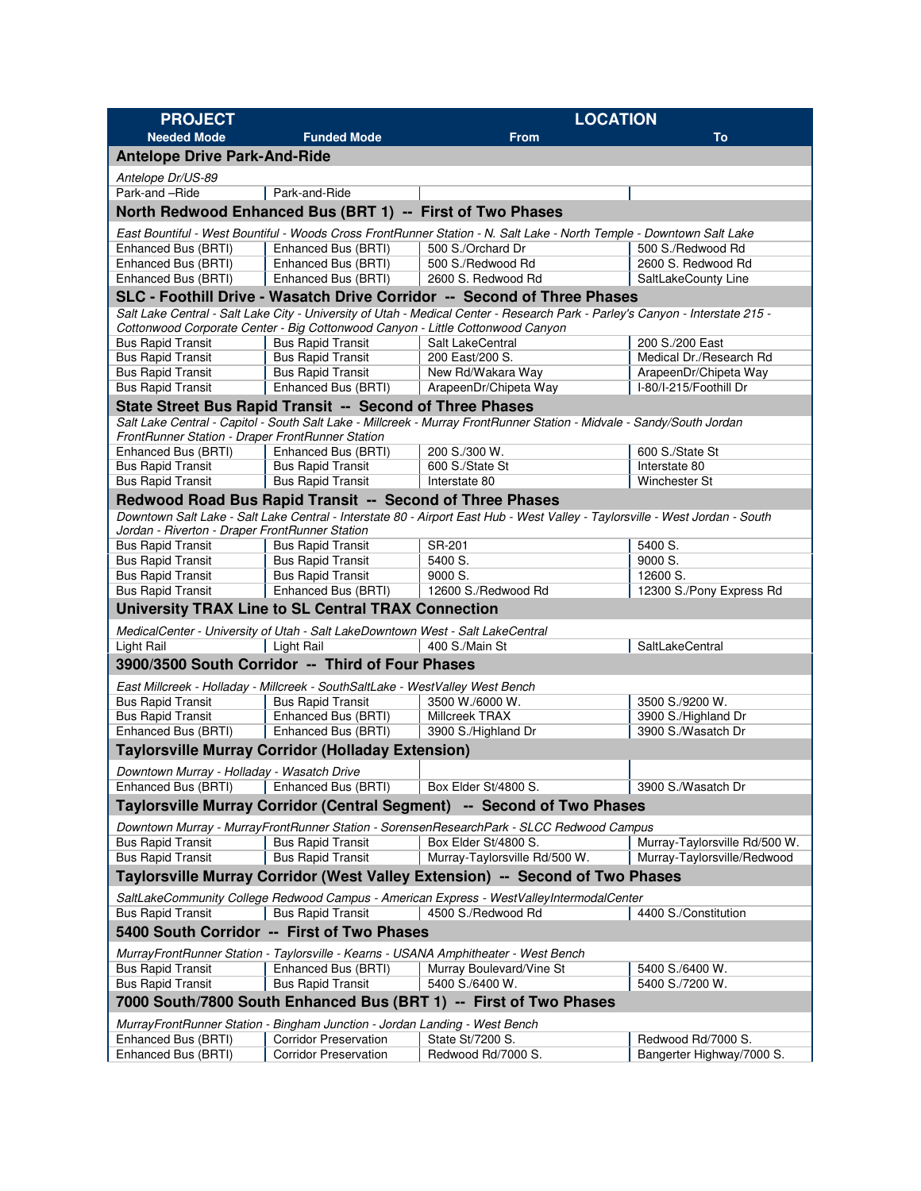| <b>PROJECT</b>                                                               |                                                                                | <b>LOCATION</b>                                                                                                               |                                                              |  |  |
|------------------------------------------------------------------------------|--------------------------------------------------------------------------------|-------------------------------------------------------------------------------------------------------------------------------|--------------------------------------------------------------|--|--|
| <b>Needed Mode</b>                                                           | <b>Funded Mode</b>                                                             | <b>From</b>                                                                                                                   | To                                                           |  |  |
| <b>Antelope Drive Park-And-Ride</b>                                          |                                                                                |                                                                                                                               |                                                              |  |  |
| Antelope Dr/US-89                                                            |                                                                                |                                                                                                                               |                                                              |  |  |
| Park-and -Ride                                                               | Park-and-Ride                                                                  |                                                                                                                               |                                                              |  |  |
|                                                                              | North Redwood Enhanced Bus (BRT 1) -- First of Two Phases                      |                                                                                                                               |                                                              |  |  |
|                                                                              |                                                                                | East Bountiful - West Bountiful - Woods Cross FrontRunner Station - N. Salt Lake - North Temple - Downtown Salt Lake          |                                                              |  |  |
| Enhanced Bus (BRTI)                                                          | Enhanced Bus (BRTI)                                                            | 500 S./Orchard Dr                                                                                                             | 500 S./Redwood Rd                                            |  |  |
| Enhanced Bus (BRTI)                                                          | Enhanced Bus (BRTI)                                                            | 500 S./Redwood Rd                                                                                                             | 2600 S. Redwood Rd                                           |  |  |
| Enhanced Bus (BRTI)                                                          | Enhanced Bus (BRTI)                                                            | 2600 S. Redwood Rd                                                                                                            | SaltLakeCounty Line                                          |  |  |
|                                                                              |                                                                                | SLC - Foothill Drive - Wasatch Drive Corridor -- Second of Three Phases                                                       |                                                              |  |  |
|                                                                              |                                                                                | Salt Lake Central - Salt Lake City - University of Utah - Medical Center - Research Park - Parley's Canyon - Interstate 215 - |                                                              |  |  |
|                                                                              | Cottonwood Corporate Center - Big Cottonwood Canyon - Little Cottonwood Canyon |                                                                                                                               |                                                              |  |  |
| <b>Bus Rapid Transit</b><br><b>Bus Rapid Transit</b>                         | <b>Bus Rapid Transit</b><br><b>Bus Rapid Transit</b>                           | Salt LakeCentral<br>200 East/200 S.                                                                                           | 200 S./200 East<br>Medical Dr./Research Rd                   |  |  |
| <b>Bus Rapid Transit</b>                                                     | <b>Bus Rapid Transit</b>                                                       | New Rd/Wakara Way                                                                                                             | ArapeenDr/Chipeta Way                                        |  |  |
| <b>Bus Rapid Transit</b>                                                     | Enhanced Bus (BRTI)                                                            | ArapeenDr/Chipeta Way                                                                                                         | I-80/I-215/Foothill Dr                                       |  |  |
|                                                                              | State Street Bus Rapid Transit -- Second of Three Phases                       |                                                                                                                               |                                                              |  |  |
|                                                                              |                                                                                | Salt Lake Central - Capitol - South Salt Lake - Millcreek - Murray FrontRunner Station - Midvale - Sandy/South Jordan         |                                                              |  |  |
| FrontRunner Station - Draper FrontRunner Station                             |                                                                                |                                                                                                                               |                                                              |  |  |
| Enhanced Bus (BRTI)                                                          | Enhanced Bus (BRTI)                                                            | 200 S./300 W.                                                                                                                 | 600 S./State St                                              |  |  |
| <b>Bus Rapid Transit</b>                                                     | <b>Bus Rapid Transit</b>                                                       | 600 S./State St                                                                                                               | Interstate 80                                                |  |  |
| <b>Bus Rapid Transit</b>                                                     | <b>Bus Rapid Transit</b>                                                       | Interstate 80                                                                                                                 | <b>Winchester St</b>                                         |  |  |
|                                                                              | Redwood Road Bus Rapid Transit -- Second of Three Phases                       |                                                                                                                               |                                                              |  |  |
|                                                                              |                                                                                | Downtown Salt Lake - Salt Lake Central - Interstate 80 - Airport East Hub - West Valley - Taylorsville - West Jordan - South  |                                                              |  |  |
| Jordan - Riverton - Draper FrontRunner Station<br><b>Bus Rapid Transit</b>   | <b>Bus Rapid Transit</b>                                                       | SR-201                                                                                                                        | 5400 S.                                                      |  |  |
| <b>Bus Rapid Transit</b>                                                     | <b>Bus Rapid Transit</b>                                                       | 5400 S.                                                                                                                       | 9000 S.                                                      |  |  |
| <b>Bus Rapid Transit</b>                                                     | <b>Bus Rapid Transit</b>                                                       | 9000 S.                                                                                                                       | 12600 S.                                                     |  |  |
| <b>Bus Rapid Transit</b>                                                     | Enhanced Bus (BRTI)                                                            | 12600 S./Redwood Rd                                                                                                           | 12300 S./Pony Express Rd                                     |  |  |
|                                                                              | <b>University TRAX Line to SL Central TRAX Connection</b>                      |                                                                                                                               |                                                              |  |  |
|                                                                              | MedicalCenter - University of Utah - Salt LakeDowntown West - Salt LakeCentral |                                                                                                                               |                                                              |  |  |
| <b>Light Rail</b>                                                            | <b>Light Rail</b>                                                              | 400 S./Main St                                                                                                                | SaltLakeCentral                                              |  |  |
|                                                                              | 3900/3500 South Corridor -- Third of Four Phases                               |                                                                                                                               |                                                              |  |  |
|                                                                              | East Millcreek - Holladay - Millcreek - SouthSaltLake - WestValley West Bench  |                                                                                                                               |                                                              |  |  |
| <b>Bus Rapid Transit</b>                                                     | <b>Bus Rapid Transit</b>                                                       | 3500 W./6000 W.                                                                                                               | 3500 S./9200 W.                                              |  |  |
| <b>Bus Rapid Transit</b>                                                     | Enhanced Bus (BRTI)                                                            | Millcreek TRAX                                                                                                                | 3900 S./Highland Dr                                          |  |  |
| Enhanced Bus (BRTI)                                                          | Enhanced Bus (BRTI)                                                            | 3900 S./Highland Dr                                                                                                           | 3900 S./Wasatch Dr                                           |  |  |
|                                                                              | <b>Taylorsville Murray Corridor (Holladay Extension)</b>                       |                                                                                                                               |                                                              |  |  |
|                                                                              |                                                                                |                                                                                                                               |                                                              |  |  |
| Downtown Murray - Holladay - Wasatch Drive<br>Enhanced Bus (BRTI)            | Enhanced Bus (BRTI)                                                            | Box Elder St/4800 S.                                                                                                          | 3900 S./Wasatch Dr                                           |  |  |
|                                                                              |                                                                                | Taylorsville Murray Corridor (Central Segment) -- Second of Two Phases                                                        |                                                              |  |  |
|                                                                              |                                                                                |                                                                                                                               |                                                              |  |  |
|                                                                              |                                                                                | Downtown Murray - MurrayFrontRunner Station - SorensenResearchPark - SLCC Redwood Campus                                      |                                                              |  |  |
| <b>Bus Rapid Transit</b><br><b>Bus Rapid Transit</b>                         | <b>Bus Rapid Transit</b><br><b>Bus Rapid Transit</b>                           | Box Elder St/4800 S.<br>Murray-Taylorsville Rd/500 W.                                                                         | Murray-Taylorsville Rd/500 W.<br>Murray-Taylorsville/Redwood |  |  |
|                                                                              |                                                                                |                                                                                                                               |                                                              |  |  |
| Taylorsville Murray Corridor (West Valley Extension) -- Second of Two Phases |                                                                                |                                                                                                                               |                                                              |  |  |
|                                                                              |                                                                                | SaltLakeCommunity College Redwood Campus - American Express - WestValleyIntermodalCenter                                      |                                                              |  |  |
| <b>Bus Rapid Transit</b>                                                     | <b>Bus Rapid Transit</b>                                                       | 4500 S./Redwood Rd                                                                                                            | 4400 S./Constitution                                         |  |  |
|                                                                              | 5400 South Corridor -- First of Two Phases                                     |                                                                                                                               |                                                              |  |  |
|                                                                              |                                                                                | MurrayFrontRunner Station - Taylorsville - Kearns - USANA Amphitheater - West Bench                                           |                                                              |  |  |
| <b>Bus Rapid Transit</b>                                                     | Enhanced Bus (BRTI)                                                            | Murray Boulevard/Vine St                                                                                                      | 5400 S./6400 W.                                              |  |  |
| <b>Bus Rapid Transit</b>                                                     | <b>Bus Rapid Transit</b>                                                       | 5400 S./6400 W.                                                                                                               | 5400 S./7200 W.                                              |  |  |
| 7000 South/7800 South Enhanced Bus (BRT 1) -- First of Two Phases            |                                                                                |                                                                                                                               |                                                              |  |  |
|                                                                              | MurrayFrontRunner Station - Bingham Junction - Jordan Landing - West Bench     |                                                                                                                               |                                                              |  |  |
| Enhanced Bus (BRTI)                                                          | <b>Corridor Preservation</b>                                                   | State St/7200 S.                                                                                                              | Redwood Rd/7000 S.                                           |  |  |
| Enhanced Bus (BRTI)                                                          | <b>Corridor Preservation</b>                                                   | Redwood Rd/7000 S.                                                                                                            | Bangerter Highway/7000 S.                                    |  |  |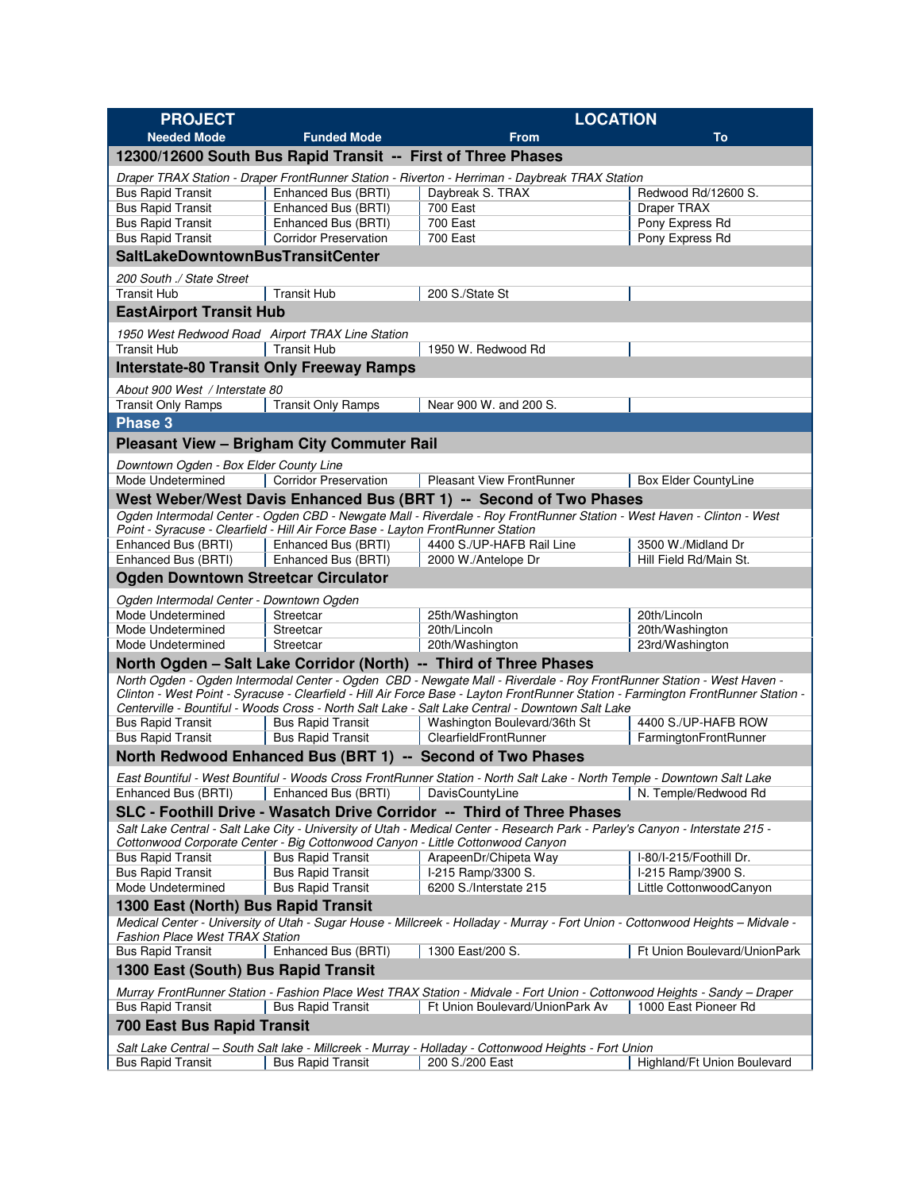| <b>PROJECT</b>                                                                                                                                                                                                   |                                                                                  | <b>LOCATION</b>                                                                                                                                                                                                                                             |                                    |  |  |  |
|------------------------------------------------------------------------------------------------------------------------------------------------------------------------------------------------------------------|----------------------------------------------------------------------------------|-------------------------------------------------------------------------------------------------------------------------------------------------------------------------------------------------------------------------------------------------------------|------------------------------------|--|--|--|
| <b>Needed Mode</b>                                                                                                                                                                                               | <b>Funded Mode</b>                                                               | <b>From</b>                                                                                                                                                                                                                                                 | To                                 |  |  |  |
|                                                                                                                                                                                                                  | 12300/12600 South Bus Rapid Transit -- First of Three Phases                     |                                                                                                                                                                                                                                                             |                                    |  |  |  |
|                                                                                                                                                                                                                  |                                                                                  | Draper TRAX Station - Draper FrontRunner Station - Riverton - Herriman - Daybreak TRAX Station                                                                                                                                                              |                                    |  |  |  |
| <b>Bus Rapid Transit</b>                                                                                                                                                                                         | Enhanced Bus (BRTI)                                                              | Daybreak S. TRAX                                                                                                                                                                                                                                            | Redwood Rd/12600 S.                |  |  |  |
| <b>Bus Rapid Transit</b>                                                                                                                                                                                         | Enhanced Bus (BRTI)                                                              | 700 East                                                                                                                                                                                                                                                    | Draper TRAX                        |  |  |  |
| <b>Bus Rapid Transit</b>                                                                                                                                                                                         | Enhanced Bus (BRTI)<br><b>Corridor Preservation</b>                              | 700 East<br><b>700 East</b>                                                                                                                                                                                                                                 | Pony Express Rd                    |  |  |  |
| <b>Bus Rapid Transit</b><br><b>SaltLakeDowntownBusTransitCenter</b>                                                                                                                                              |                                                                                  |                                                                                                                                                                                                                                                             | Pony Express Rd                    |  |  |  |
|                                                                                                                                                                                                                  |                                                                                  |                                                                                                                                                                                                                                                             |                                    |  |  |  |
| 200 South ./ State Street<br><b>Transit Hub</b>                                                                                                                                                                  | <b>Transit Hub</b>                                                               | 200 S./State St                                                                                                                                                                                                                                             |                                    |  |  |  |
| <b>EastAirport Transit Hub</b>                                                                                                                                                                                   |                                                                                  |                                                                                                                                                                                                                                                             |                                    |  |  |  |
|                                                                                                                                                                                                                  |                                                                                  |                                                                                                                                                                                                                                                             |                                    |  |  |  |
| 1950 West Redwood Road Airport TRAX Line Station<br><b>Transit Hub</b>                                                                                                                                           | <b>Transit Hub</b>                                                               | 1950 W. Redwood Rd                                                                                                                                                                                                                                          |                                    |  |  |  |
|                                                                                                                                                                                                                  | <b>Interstate-80 Transit Only Freeway Ramps</b>                                  |                                                                                                                                                                                                                                                             |                                    |  |  |  |
|                                                                                                                                                                                                                  |                                                                                  |                                                                                                                                                                                                                                                             |                                    |  |  |  |
| About 900 West / Interstate 80<br><b>Transit Only Ramps</b>                                                                                                                                                      | <b>Transit Only Ramps</b>                                                        | Near 900 W. and 200 S.                                                                                                                                                                                                                                      |                                    |  |  |  |
| Phase 3                                                                                                                                                                                                          |                                                                                  |                                                                                                                                                                                                                                                             |                                    |  |  |  |
|                                                                                                                                                                                                                  | <b>Pleasant View - Brigham City Commuter Rail</b>                                |                                                                                                                                                                                                                                                             |                                    |  |  |  |
|                                                                                                                                                                                                                  |                                                                                  |                                                                                                                                                                                                                                                             |                                    |  |  |  |
| Downtown Ogden - Box Elder County Line<br>Mode Undetermined                                                                                                                                                      | <b>Corridor Preservation</b>                                                     | <b>Pleasant View FrontRunner</b>                                                                                                                                                                                                                            | <b>Box Elder CountyLine</b>        |  |  |  |
|                                                                                                                                                                                                                  |                                                                                  | West Weber/West Davis Enhanced Bus (BRT 1) -- Second of Two Phases                                                                                                                                                                                          |                                    |  |  |  |
|                                                                                                                                                                                                                  |                                                                                  | Ogden Intermodal Center - Ogden CBD - Newgate Mall - Riverdale - Roy FrontRunner Station - West Haven - Clinton - West                                                                                                                                      |                                    |  |  |  |
|                                                                                                                                                                                                                  | Point - Syracuse - Clearfield - Hill Air Force Base - Layton FrontRunner Station |                                                                                                                                                                                                                                                             |                                    |  |  |  |
| Enhanced Bus (BRTI)                                                                                                                                                                                              | Enhanced Bus (BRTI)                                                              | 4400 S./UP-HAFB Rail Line                                                                                                                                                                                                                                   | 3500 W./Midland Dr                 |  |  |  |
| Enhanced Bus (BRTI)                                                                                                                                                                                              | Enhanced Bus (BRTI)                                                              | 2000 W./Antelope Dr                                                                                                                                                                                                                                         | Hill Field Rd/Main St.             |  |  |  |
| <b>Ogden Downtown Streetcar Circulator</b>                                                                                                                                                                       |                                                                                  |                                                                                                                                                                                                                                                             |                                    |  |  |  |
| Ogden Intermodal Center - Downtown Ogden                                                                                                                                                                         |                                                                                  |                                                                                                                                                                                                                                                             |                                    |  |  |  |
| Mode Undetermined                                                                                                                                                                                                | Streetcar                                                                        | 25th/Washington                                                                                                                                                                                                                                             | 20th/Lincoln                       |  |  |  |
| Mode Undetermined<br>Mode Undetermined                                                                                                                                                                           | Streetcar<br>Streetcar                                                           | 20th/Lincoln<br>20th/Washington                                                                                                                                                                                                                             | 20th/Washington<br>23rd/Washington |  |  |  |
| North Ogden - Salt Lake Corridor (North) -- Third of Three Phases                                                                                                                                                |                                                                                  |                                                                                                                                                                                                                                                             |                                    |  |  |  |
|                                                                                                                                                                                                                  |                                                                                  | North Ogden - Ogden Intermodal Center - Ogden CBD - Newgate Mall - Riverdale - Roy FrontRunner Station - West Haven -<br>Clinton - West Point - Syracuse - Clearfield - Hill Air Force Base - Layton FrontRunner Station - Farmington FrontRunner Station - |                                    |  |  |  |
|                                                                                                                                                                                                                  |                                                                                  | Centerville - Bountiful - Woods Cross - North Salt Lake - Salt Lake Central - Downtown Salt Lake                                                                                                                                                            |                                    |  |  |  |
| <b>Bus Rapid Transit</b>                                                                                                                                                                                         | <b>Bus Rapid Transit</b>                                                         | Washington Boulevard/36th St                                                                                                                                                                                                                                | 4400 S./UP-HAFB ROW                |  |  |  |
| <b>Bus Rapid Transit</b>                                                                                                                                                                                         | <b>Bus Rapid Transit</b>                                                         | ClearfieldFrontRunner                                                                                                                                                                                                                                       | FarmingtonFrontRunner              |  |  |  |
|                                                                                                                                                                                                                  |                                                                                  | North Redwood Enhanced Bus (BRT 1) -- Second of Two Phases                                                                                                                                                                                                  |                                    |  |  |  |
|                                                                                                                                                                                                                  |                                                                                  | East Bountiful - West Bountiful - Woods Cross FrontRunner Station - North Salt Lake - North Temple - Downtown Salt Lake                                                                                                                                     |                                    |  |  |  |
| Enhanced Bus (BRTI)                                                                                                                                                                                              | Enhanced Bus (BRTI)                                                              | DavisCountyLine                                                                                                                                                                                                                                             | N. Temple/Redwood Rd               |  |  |  |
|                                                                                                                                                                                                                  |                                                                                  | SLC - Foothill Drive - Wasatch Drive Corridor -- Third of Three Phases                                                                                                                                                                                      |                                    |  |  |  |
|                                                                                                                                                                                                                  | Cottonwood Corporate Center - Big Cottonwood Canyon - Little Cottonwood Canyon   | Salt Lake Central - Salt Lake City - University of Utah - Medical Center - Research Park - Parley's Canyon - Interstate 215 -                                                                                                                               |                                    |  |  |  |
| <b>Bus Rapid Transit</b>                                                                                                                                                                                         | <b>Bus Rapid Transit</b>                                                         | ArapeenDr/Chipeta Way                                                                                                                                                                                                                                       | I-80/I-215/Foothill Dr.            |  |  |  |
| <b>Bus Rapid Transit</b>                                                                                                                                                                                         | <b>Bus Rapid Transit</b>                                                         | I-215 Ramp/3300 S.                                                                                                                                                                                                                                          | I-215 Ramp/3900 S.                 |  |  |  |
| Mode Undetermined                                                                                                                                                                                                | <b>Bus Rapid Transit</b>                                                         | 6200 S./Interstate 215                                                                                                                                                                                                                                      | Little CottonwoodCanyon            |  |  |  |
| 1300 East (North) Bus Rapid Transit<br>Medical Center - University of Utah - Sugar House - Millcreek - Holladay - Murray - Fort Union - Cottonwood Heights - Midvale -<br><b>Fashion Place West TRAX Station</b> |                                                                                  |                                                                                                                                                                                                                                                             |                                    |  |  |  |
| <b>Bus Rapid Transit</b>                                                                                                                                                                                         | Enhanced Bus (BRTI)                                                              | 1300 East/200 S.                                                                                                                                                                                                                                            | Ft Union Boulevard/UnionPark       |  |  |  |
| 1300 East (South) Bus Rapid Transit                                                                                                                                                                              |                                                                                  |                                                                                                                                                                                                                                                             |                                    |  |  |  |
|                                                                                                                                                                                                                  |                                                                                  | Murray FrontRunner Station - Fashion Place West TRAX Station - Midvale - Fort Union - Cottonwood Heights - Sandy - Draper                                                                                                                                   |                                    |  |  |  |
| <b>Bus Rapid Transit</b>                                                                                                                                                                                         | <b>Bus Rapid Transit</b>                                                         | Ft Union Boulevard/UnionPark Av                                                                                                                                                                                                                             | 1000 East Pioneer Rd               |  |  |  |
| 700 East Bus Rapid Transit                                                                                                                                                                                       |                                                                                  |                                                                                                                                                                                                                                                             |                                    |  |  |  |
| Salt Lake Central - South Salt lake - Millcreek - Murray - Holladay - Cottonwood Heights - Fort Union                                                                                                            |                                                                                  |                                                                                                                                                                                                                                                             |                                    |  |  |  |
| <b>Bus Rapid Transit</b>                                                                                                                                                                                         | <b>Bus Rapid Transit</b>                                                         | 200 S./200 East                                                                                                                                                                                                                                             | Highland/Ft Union Boulevard        |  |  |  |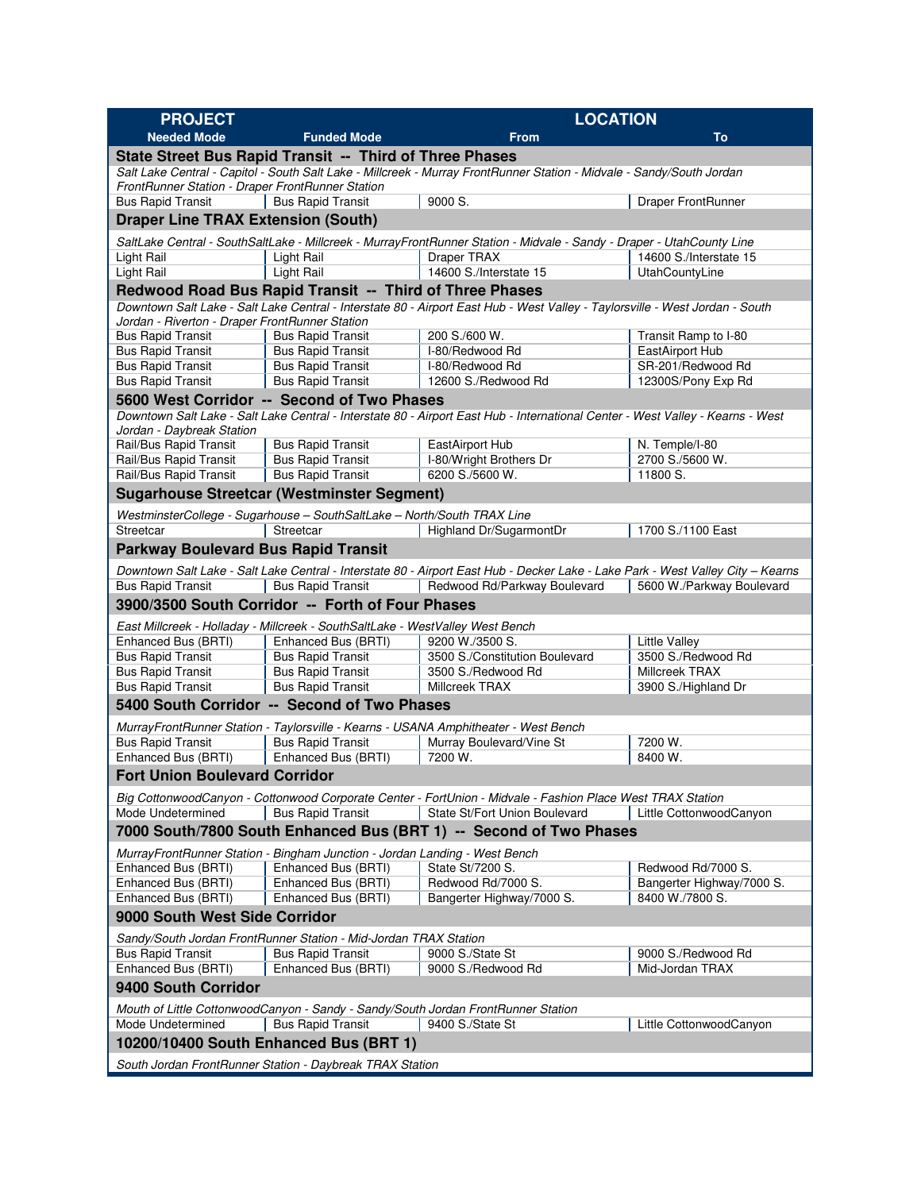| <b>PROJECT</b>                                                                    |                                                                                                      | <b>LOCATION</b>                                                                                                                                                 |                           |  |  |  |
|-----------------------------------------------------------------------------------|------------------------------------------------------------------------------------------------------|-----------------------------------------------------------------------------------------------------------------------------------------------------------------|---------------------------|--|--|--|
| <b>Needed Mode</b>                                                                | <b>Funded Mode</b>                                                                                   | <b>From</b>                                                                                                                                                     | To                        |  |  |  |
|                                                                                   | State Street Bus Rapid Transit -- Third of Three Phases                                              |                                                                                                                                                                 |                           |  |  |  |
|                                                                                   |                                                                                                      | Salt Lake Central - Capitol - South Salt Lake - Millcreek - Murray FrontRunner Station - Midvale - Sandy/South Jordan                                           |                           |  |  |  |
| FrontRunner Station - Draper FrontRunner Station                                  |                                                                                                      |                                                                                                                                                                 |                           |  |  |  |
| <b>Bus Rapid Transit</b>                                                          | <b>Bus Rapid Transit</b>                                                                             | 9000 S.                                                                                                                                                         | Draper FrontRunner        |  |  |  |
| <b>Draper Line TRAX Extension (South)</b>                                         |                                                                                                      |                                                                                                                                                                 |                           |  |  |  |
|                                                                                   |                                                                                                      | SaltLake Central - SouthSaltLake - Millcreek - MurrayFrontRunner Station - Midvale - Sandy - Draper - UtahCounty Line                                           |                           |  |  |  |
| Light Rail                                                                        | Light Rail                                                                                           | Draper TRAX                                                                                                                                                     | 14600 S./Interstate 15    |  |  |  |
| Light Rail                                                                        | Light Rail                                                                                           | 14600 S./Interstate 15                                                                                                                                          | UtahCountyLine            |  |  |  |
|                                                                                   | Redwood Road Bus Rapid Transit -- Third of Three Phases                                              |                                                                                                                                                                 |                           |  |  |  |
| Jordan - Riverton - Draper FrontRunner Station                                    |                                                                                                      | Downtown Salt Lake - Salt Lake Central - Interstate 80 - Airport East Hub - West Valley - Taylorsville - West Jordan - South                                    |                           |  |  |  |
| <b>Bus Rapid Transit</b>                                                          | <b>Bus Rapid Transit</b>                                                                             | 200 S./600 W.                                                                                                                                                   | Transit Ramp to I-80      |  |  |  |
| <b>Bus Rapid Transit</b>                                                          | <b>Bus Rapid Transit</b>                                                                             | I-80/Redwood Rd                                                                                                                                                 | EastAirport Hub           |  |  |  |
| <b>Bus Rapid Transit</b>                                                          | <b>Bus Rapid Transit</b>                                                                             | I-80/Redwood Rd                                                                                                                                                 | SR-201/Redwood Rd         |  |  |  |
| <b>Bus Rapid Transit</b>                                                          | <b>Bus Rapid Transit</b>                                                                             | 12600 S./Redwood Rd                                                                                                                                             | 12300S/Pony Exp Rd        |  |  |  |
|                                                                                   | 5600 West Corridor -- Second of Two Phases                                                           |                                                                                                                                                                 |                           |  |  |  |
|                                                                                   |                                                                                                      | Downtown Salt Lake - Salt Lake Central - Interstate 80 - Airport East Hub - International Center - West Valley - Kearns - West                                  |                           |  |  |  |
| Jordan - Daybreak Station<br>Rail/Bus Rapid Transit                               | <b>Bus Rapid Transit</b>                                                                             | EastAirport Hub                                                                                                                                                 | N. Temple/I-80            |  |  |  |
| Rail/Bus Rapid Transit                                                            | <b>Bus Rapid Transit</b>                                                                             | I-80/Wright Brothers Dr                                                                                                                                         | 2700 S./5600 W.           |  |  |  |
| Rail/Bus Rapid Transit                                                            | <b>Bus Rapid Transit</b>                                                                             | 6200 S./5600 W.                                                                                                                                                 | 11800 S.                  |  |  |  |
|                                                                                   | <b>Sugarhouse Streetcar (Westminster Segment)</b>                                                    |                                                                                                                                                                 |                           |  |  |  |
|                                                                                   | WestminsterCollege - Sugarhouse - SouthSaltLake - North/South TRAX Line                              |                                                                                                                                                                 |                           |  |  |  |
| Streetcar                                                                         | Streetcar                                                                                            | Highland Dr/SugarmontDr                                                                                                                                         | 1700 S./1100 East         |  |  |  |
| <b>Parkway Boulevard Bus Rapid Transit</b>                                        |                                                                                                      |                                                                                                                                                                 |                           |  |  |  |
|                                                                                   |                                                                                                      |                                                                                                                                                                 |                           |  |  |  |
| <b>Bus Rapid Transit</b>                                                          | <b>Bus Rapid Transit</b>                                                                             | Downtown Salt Lake - Salt Lake Central - Interstate 80 - Airport East Hub - Decker Lake - Lake Park - West Valley City – Kearns<br>Redwood Rd/Parkway Boulevard | 5600 W./Parkway Boulevard |  |  |  |
|                                                                                   | 3900/3500 South Corridor -- Forth of Four Phases                                                     |                                                                                                                                                                 |                           |  |  |  |
|                                                                                   |                                                                                                      |                                                                                                                                                                 |                           |  |  |  |
| Enhanced Bus (BRTI)                                                               | East Millcreek - Holladay - Millcreek - SouthSaltLake - WestValley West Bench<br>Enhanced Bus (BRTI) | 9200 W./3500 S.                                                                                                                                                 | <b>Little Valley</b>      |  |  |  |
| <b>Bus Rapid Transit</b>                                                          | <b>Bus Rapid Transit</b>                                                                             | 3500 S./Constitution Boulevard                                                                                                                                  | 3500 S./Redwood Rd        |  |  |  |
| <b>Bus Rapid Transit</b>                                                          | <b>Bus Rapid Transit</b>                                                                             | 3500 S./Redwood Rd                                                                                                                                              | Millcreek TRAX            |  |  |  |
| <b>Bus Rapid Transit</b>                                                          | <b>Bus Rapid Transit</b>                                                                             | Millcreek TRAX                                                                                                                                                  | 3900 S./Highland Dr       |  |  |  |
| 5400 South Corridor -- Second of Two Phases                                       |                                                                                                      |                                                                                                                                                                 |                           |  |  |  |
|                                                                                   |                                                                                                      | MurrayFrontRunner Station - Taylorsville - Kearns - USANA Amphitheater - West Bench                                                                             |                           |  |  |  |
| <b>Bus Rapid Transit</b>                                                          | <b>Bus Rapid Transit</b>                                                                             | Murray Boulevard/Vine St                                                                                                                                        | 7200 W.                   |  |  |  |
| Enhanced Bus (BRTI)                                                               | Enhanced Bus (BRTI)                                                                                  | 7200 W.                                                                                                                                                         | 8400 W.                   |  |  |  |
| <b>Fort Union Boulevard Corridor</b>                                              |                                                                                                      |                                                                                                                                                                 |                           |  |  |  |
|                                                                                   |                                                                                                      | Big CottonwoodCanyon - Cottonwood Corporate Center - FortUnion - Midvale - Fashion Place West TRAX Station                                                      |                           |  |  |  |
| Mode Undetermined                                                                 | <b>Bus Rapid Transit</b>                                                                             | State St/Fort Union Boulevard                                                                                                                                   | Little CottonwoodCanyon   |  |  |  |
|                                                                                   |                                                                                                      | 7000 South/7800 South Enhanced Bus (BRT 1) -- Second of Two Phases                                                                                              |                           |  |  |  |
|                                                                                   | MurrayFrontRunner Station - Bingham Junction - Jordan Landing - West Bench                           |                                                                                                                                                                 |                           |  |  |  |
| Enhanced Bus (BRTI)                                                               | Enhanced Bus (BRTI)                                                                                  | State St/7200 S.                                                                                                                                                | Redwood Rd/7000 S.        |  |  |  |
| Enhanced Bus (BRTI)                                                               | Enhanced Bus (BRTI)                                                                                  | Redwood Rd/7000 S.                                                                                                                                              | Bangerter Highway/7000 S. |  |  |  |
| Enhanced Bus (BRTI)                                                               | Enhanced Bus (BRTI)                                                                                  | Bangerter Highway/7000 S.                                                                                                                                       | 8400 W./7800 S.           |  |  |  |
| 9000 South West Side Corridor                                                     |                                                                                                      |                                                                                                                                                                 |                           |  |  |  |
|                                                                                   | Sandy/South Jordan FrontRunner Station - Mid-Jordan TRAX Station                                     |                                                                                                                                                                 |                           |  |  |  |
| <b>Bus Rapid Transit</b>                                                          | <b>Bus Rapid Transit</b>                                                                             | 9000 S./State St                                                                                                                                                | 9000 S./Redwood Rd        |  |  |  |
| Enhanced Bus (BRTI)                                                               | Enhanced Bus (BRTI)                                                                                  | 9000 S./Redwood Rd                                                                                                                                              | Mid-Jordan TRAX           |  |  |  |
| 9400 South Corridor                                                               |                                                                                                      |                                                                                                                                                                 |                           |  |  |  |
| Mouth of Little CottonwoodCanyon - Sandy - Sandy/South Jordan FrontRunner Station |                                                                                                      |                                                                                                                                                                 |                           |  |  |  |
| Mode Undetermined                                                                 | <b>Bus Rapid Transit</b>                                                                             | 9400 S./State St                                                                                                                                                | Little CottonwoodCanyon   |  |  |  |
|                                                                                   | 10200/10400 South Enhanced Bus (BRT 1)                                                               |                                                                                                                                                                 |                           |  |  |  |
|                                                                                   | South Jordan FrontRunner Station - Daybreak TRAX Station                                             |                                                                                                                                                                 |                           |  |  |  |
|                                                                                   |                                                                                                      |                                                                                                                                                                 |                           |  |  |  |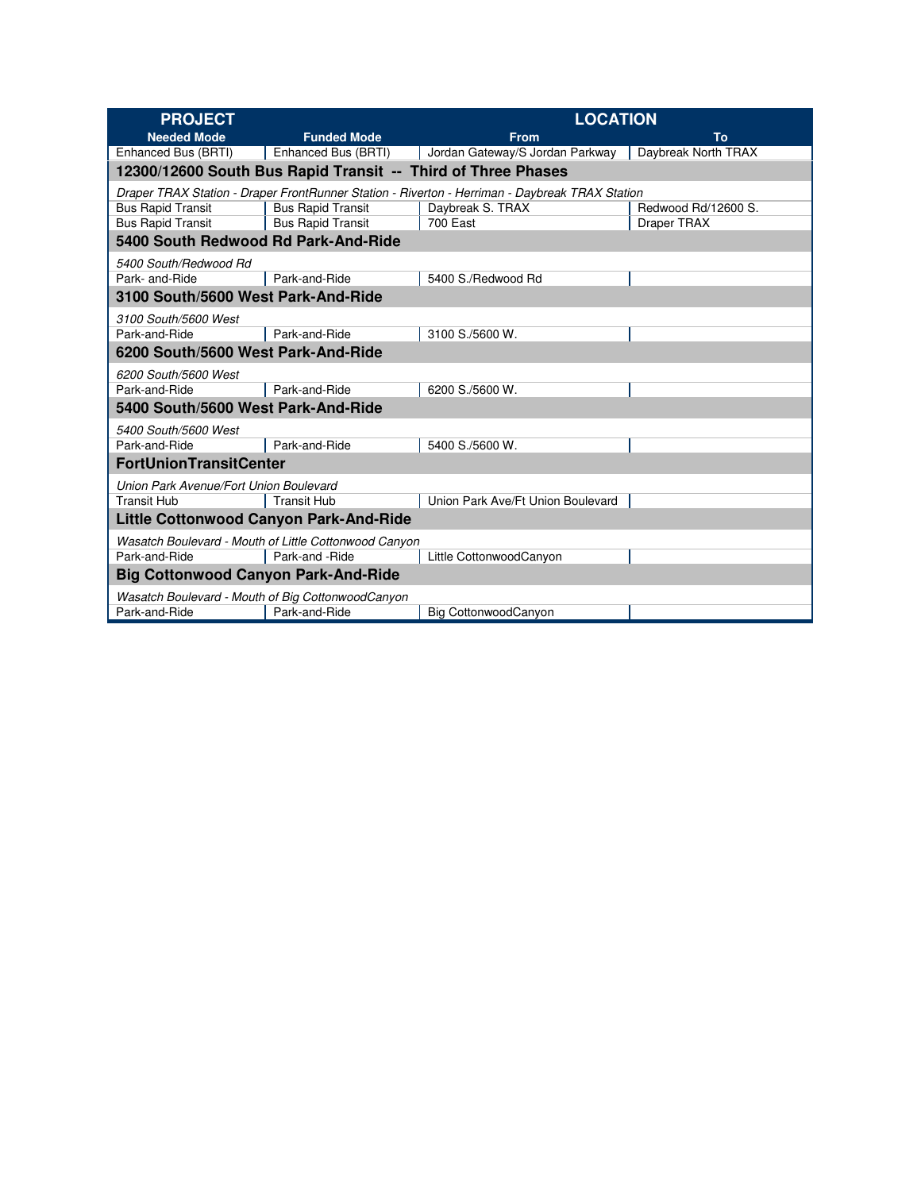| <b>PROJECT</b>                                                                                 |                                                              | <b>LOCATION</b>                   |                     |  |  |  |  |
|------------------------------------------------------------------------------------------------|--------------------------------------------------------------|-----------------------------------|---------------------|--|--|--|--|
| <b>Needed Mode</b>                                                                             | <b>Funded Mode</b>                                           | <b>From</b>                       | To                  |  |  |  |  |
| Enhanced Bus (BRTI)                                                                            | Enhanced Bus (BRTI)                                          | Jordan Gateway/S Jordan Parkway   | Daybreak North TRAX |  |  |  |  |
|                                                                                                | 12300/12600 South Bus Rapid Transit -- Third of Three Phases |                                   |                     |  |  |  |  |
| Draper TRAX Station - Draper FrontRunner Station - Riverton - Herriman - Daybreak TRAX Station |                                                              |                                   |                     |  |  |  |  |
| <b>Bus Rapid Transit</b>                                                                       | <b>Bus Rapid Transit</b>                                     | Daybreak S. TRAX                  | Redwood Rd/12600 S. |  |  |  |  |
| <b>Bus Rapid Transit</b>                                                                       | <b>Bus Rapid Transit</b>                                     | <b>700 East</b>                   | Draper TRAX         |  |  |  |  |
| 5400 South Redwood Rd Park-And-Ride                                                            |                                                              |                                   |                     |  |  |  |  |
| 5400 South/Redwood Rd                                                                          |                                                              |                                   |                     |  |  |  |  |
| Park- and-Ride                                                                                 | Park-and-Ride                                                | 5400 S./Redwood Rd                |                     |  |  |  |  |
| 3100 South/5600 West Park-And-Ride                                                             |                                                              |                                   |                     |  |  |  |  |
| 3100 South/5600 West                                                                           |                                                              |                                   |                     |  |  |  |  |
| Park-and-Ride                                                                                  | Park-and-Ride                                                | 3100 S./5600 W.                   |                     |  |  |  |  |
| 6200 South/5600 West Park-And-Ride                                                             |                                                              |                                   |                     |  |  |  |  |
| 6200 South/5600 West                                                                           |                                                              |                                   |                     |  |  |  |  |
| Park-and-Ride                                                                                  | Park-and-Ride                                                | 6200 S./5600 W.                   |                     |  |  |  |  |
|                                                                                                | 5400 South/5600 West Park-And-Ride                           |                                   |                     |  |  |  |  |
| 5400 South/5600 West                                                                           |                                                              |                                   |                     |  |  |  |  |
| Park-and-Ride                                                                                  | Park-and-Ride                                                | 5400 S./5600 W.                   |                     |  |  |  |  |
| FortUnionTransitCenter                                                                         |                                                              |                                   |                     |  |  |  |  |
| Union Park Avenue/Fort Union Boulevard                                                         |                                                              |                                   |                     |  |  |  |  |
| <b>Transit Hub</b>                                                                             | <b>Transit Hub</b>                                           | Union Park Ave/Ft Union Boulevard |                     |  |  |  |  |
| <b>Little Cottonwood Canyon Park-And-Ride</b>                                                  |                                                              |                                   |                     |  |  |  |  |
| Wasatch Boulevard - Mouth of Little Cottonwood Canyon                                          |                                                              |                                   |                     |  |  |  |  |
| Park-and-Ride                                                                                  | Park-and -Ride                                               | Little CottonwoodCanyon           |                     |  |  |  |  |
| <b>Big Cottonwood Canyon Park-And-Ride</b>                                                     |                                                              |                                   |                     |  |  |  |  |
| Wasatch Boulevard - Mouth of Big CottonwoodCanyon                                              |                                                              |                                   |                     |  |  |  |  |
| Park-and-Ride                                                                                  | Park-and-Ride                                                | Big CottonwoodCanyon              |                     |  |  |  |  |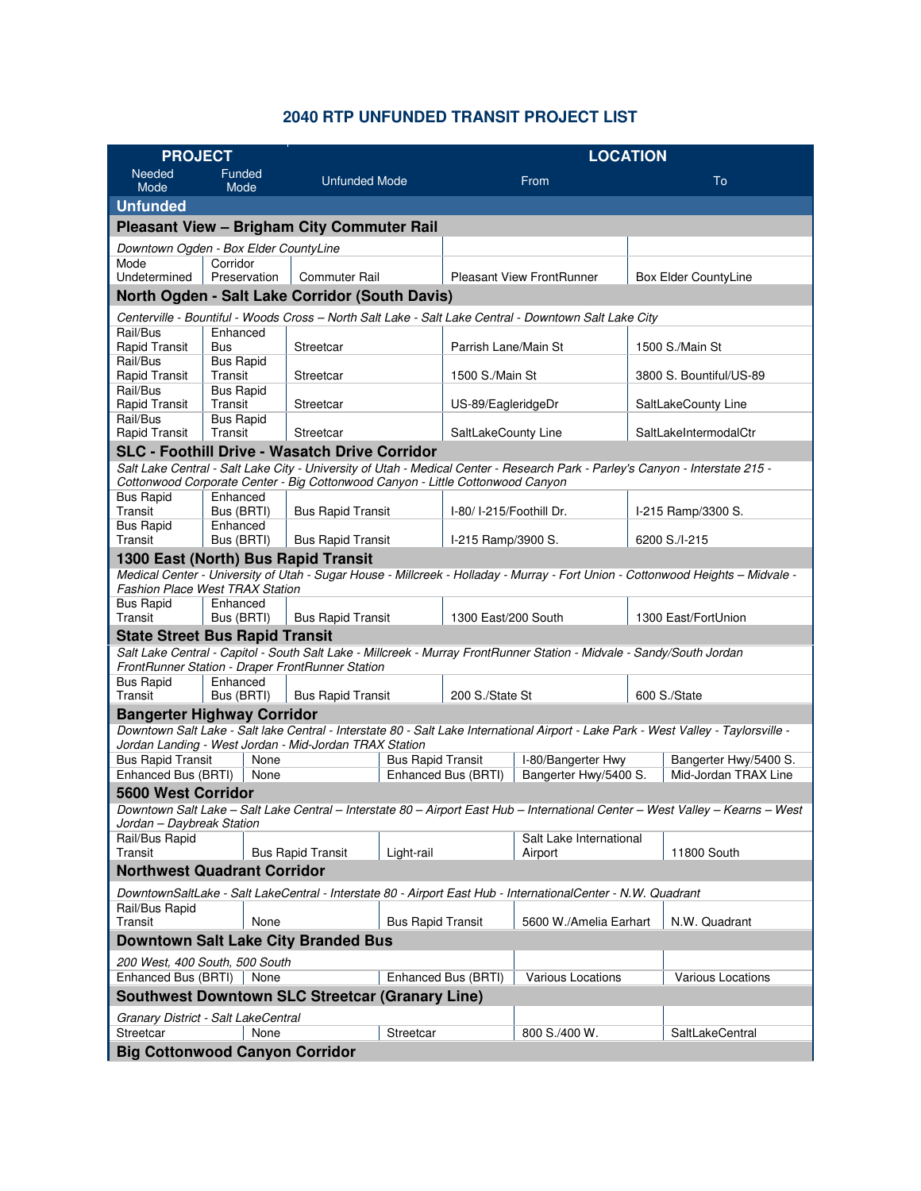## **2040 RTP UNFUNDED TRANSIT PROJECT LIST**

| <b>PROJECT</b>                                                                                                                                                            |                             | <b>LOCATION</b>                                                                |                          |                         |                                                                                                                               |               |                          |
|---------------------------------------------------------------------------------------------------------------------------------------------------------------------------|-----------------------------|--------------------------------------------------------------------------------|--------------------------|-------------------------|-------------------------------------------------------------------------------------------------------------------------------|---------------|--------------------------|
| <b>Needed</b><br>Mode                                                                                                                                                     | Funded<br>Mode              | <b>Unfunded Mode</b>                                                           |                          |                         | From                                                                                                                          |               | To                       |
| <b>Unfunded</b>                                                                                                                                                           |                             |                                                                                |                          |                         |                                                                                                                               |               |                          |
|                                                                                                                                                                           |                             | <b>Pleasant View - Brigham City Commuter Rail</b>                              |                          |                         |                                                                                                                               |               |                          |
| Downtown Ogden - Box Elder CountyLine                                                                                                                                     |                             |                                                                                |                          |                         |                                                                                                                               |               |                          |
| Mode                                                                                                                                                                      | Corridor                    |                                                                                |                          |                         |                                                                                                                               |               |                          |
| Undetermined                                                                                                                                                              | Preservation                | <b>Commuter Rail</b>                                                           |                          |                         | <b>Pleasant View FrontRunner</b>                                                                                              |               | Box Elder CountyLine     |
|                                                                                                                                                                           |                             | North Ogden - Salt Lake Corridor (South Davis)                                 |                          |                         |                                                                                                                               |               |                          |
|                                                                                                                                                                           |                             |                                                                                |                          |                         | Centerville - Bountiful - Woods Cross - North Salt Lake - Salt Lake Central - Downtown Salt Lake City                         |               |                          |
| Rail/Bus<br>Rapid Transit                                                                                                                                                 | Enhanced                    |                                                                                |                          | Parrish Lane/Main St    |                                                                                                                               |               | 1500 S./Main St          |
| Rail/Bus                                                                                                                                                                  | Bus<br><b>Bus Rapid</b>     | Streetcar                                                                      |                          |                         |                                                                                                                               |               |                          |
| Rapid Transit                                                                                                                                                             | Transit                     | Streetcar                                                                      |                          | 1500 S./Main St         |                                                                                                                               |               | 3800 S. Bountiful/US-89  |
| Rail/Bus                                                                                                                                                                  | <b>Bus Rapid</b>            |                                                                                |                          |                         |                                                                                                                               |               |                          |
| Rapid Transit                                                                                                                                                             | Transit                     | Streetcar                                                                      |                          | US-89/EagleridgeDr      |                                                                                                                               |               | SaltLakeCounty Line      |
| Rail/Bus<br>Rapid Transit                                                                                                                                                 | <b>Bus Rapid</b><br>Transit | Streetcar                                                                      |                          | SaltLakeCounty Line     |                                                                                                                               |               | SaltLakeIntermodalCtr    |
|                                                                                                                                                                           |                             | <b>SLC - Foothill Drive - Wasatch Drive Corridor</b>                           |                          |                         |                                                                                                                               |               |                          |
|                                                                                                                                                                           |                             |                                                                                |                          |                         | Salt Lake Central - Salt Lake City - University of Utah - Medical Center - Research Park - Parley's Canyon - Interstate 215 - |               |                          |
|                                                                                                                                                                           |                             | Cottonwood Corporate Center - Big Cottonwood Canyon - Little Cottonwood Canyon |                          |                         |                                                                                                                               |               |                          |
| <b>Bus Rapid</b>                                                                                                                                                          | Enhanced                    |                                                                                |                          |                         |                                                                                                                               |               |                          |
| Transit                                                                                                                                                                   | Bus (BRTI)                  | <b>Bus Rapid Transit</b>                                                       |                          | I-80/I-215/Foothill Dr. |                                                                                                                               |               | I-215 Ramp/3300 S.       |
| <b>Bus Rapid</b><br>Transit                                                                                                                                               | Enhanced<br>Bus (BRTI)      | <b>Bus Rapid Transit</b>                                                       |                          | I-215 Ramp/3900 S.      |                                                                                                                               | 6200 S./I-215 |                          |
| 1300 East (North) Bus Rapid Transit                                                                                                                                       |                             |                                                                                |                          |                         |                                                                                                                               |               |                          |
|                                                                                                                                                                           |                             |                                                                                |                          |                         |                                                                                                                               |               |                          |
| Medical Center - University of Utah - Sugar House - Millcreek - Holladay - Murray - Fort Union - Cottonwood Heights - Midvale -<br><b>Fashion Place West TRAX Station</b> |                             |                                                                                |                          |                         |                                                                                                                               |               |                          |
| <b>Bus Rapid</b>                                                                                                                                                          | Enhanced                    |                                                                                |                          |                         |                                                                                                                               |               |                          |
| Transit<br>Bus (BRTI)<br><b>Bus Rapid Transit</b><br>1300 East/200 South<br>1300 East/FortUnion<br><b>State Street Bus Rapid Transit</b>                                  |                             |                                                                                |                          |                         |                                                                                                                               |               |                          |
|                                                                                                                                                                           |                             |                                                                                |                          |                         | Salt Lake Central - Capitol - South Salt Lake - Millcreek - Murray FrontRunner Station - Midvale - Sandy/South Jordan         |               |                          |
|                                                                                                                                                                           |                             | FrontRunner Station - Draper FrontRunner Station                               |                          |                         |                                                                                                                               |               |                          |
| <b>Bus Rapid</b>                                                                                                                                                          | Enhanced                    |                                                                                |                          |                         |                                                                                                                               |               |                          |
| Transit                                                                                                                                                                   | Bus (BRTI)                  | <b>Bus Rapid Transit</b>                                                       |                          | 200 S./State St         |                                                                                                                               |               | 600 S./State             |
| <b>Bangerter Highway Corridor</b><br>Downtown Salt Lake - Salt lake Central - Interstate 80 - Salt Lake International Airport - Lake Park - West Valley - Taylorsville -  |                             |                                                                                |                          |                         |                                                                                                                               |               |                          |
|                                                                                                                                                                           |                             | Jordan Landing - West Jordan - Mid-Jordan TRAX Station                         |                          |                         |                                                                                                                               |               |                          |
| <b>Bus Rapid Transit</b>                                                                                                                                                  | None                        |                                                                                | <b>Bus Rapid Transit</b> |                         | I-80/Bangerter Hwy                                                                                                            |               | Bangerter Hwy/5400 S.    |
| Enhanced Bus (BRTI)                                                                                                                                                       | None                        |                                                                                |                          | Enhanced Bus (BRTI)     | Bangerter Hwy/5400 S.                                                                                                         |               | Mid-Jordan TRAX Line     |
| <b>5600 West Corridor</b>                                                                                                                                                 |                             |                                                                                |                          |                         |                                                                                                                               |               |                          |
| Downtown Salt Lake - Salt Lake Central - Interstate 80 - Airport East Hub - International Center - West Valley - Kearns - West<br>Jordan - Daybreak Station               |                             |                                                                                |                          |                         |                                                                                                                               |               |                          |
| Rail/Bus Rapid                                                                                                                                                            |                             |                                                                                |                          |                         | Salt Lake International                                                                                                       |               |                          |
| Transit                                                                                                                                                                   |                             | <b>Bus Rapid Transit</b>                                                       | Light-rail               |                         | Airport                                                                                                                       |               | 11800 South              |
| <b>Northwest Quadrant Corridor</b>                                                                                                                                        |                             |                                                                                |                          |                         |                                                                                                                               |               |                          |
| DowntownSaltLake - Salt LakeCentral - Interstate 80 - Airport East Hub - InternationalCenter - N.W. Quadrant                                                              |                             |                                                                                |                          |                         |                                                                                                                               |               |                          |
| Rail/Bus Rapid<br>Transit                                                                                                                                                 | None                        |                                                                                | <b>Bus Rapid Transit</b> |                         | 5600 W./Amelia Earhart                                                                                                        |               | N.W. Quadrant            |
| Downtown Salt Lake City Branded Bus                                                                                                                                       |                             |                                                                                |                          |                         |                                                                                                                               |               |                          |
| 200 West, 400 South, 500 South                                                                                                                                            |                             |                                                                                |                          |                         |                                                                                                                               |               |                          |
| Enhanced Bus (BRTI)                                                                                                                                                       | None                        |                                                                                |                          | Enhanced Bus (BRTI)     | Various Locations                                                                                                             |               | <b>Various Locations</b> |
| <b>Southwest Downtown SLC Streetcar (Granary Line)</b>                                                                                                                    |                             |                                                                                |                          |                         |                                                                                                                               |               |                          |
| Granary District - Salt LakeCentral                                                                                                                                       |                             |                                                                                |                          |                         |                                                                                                                               |               |                          |
| Streetcar                                                                                                                                                                 | None                        |                                                                                | Streetcar                |                         | 800 S./400 W.                                                                                                                 |               | SaltLakeCentral          |
| <b>Big Cottonwood Canyon Corridor</b>                                                                                                                                     |                             |                                                                                |                          |                         |                                                                                                                               |               |                          |